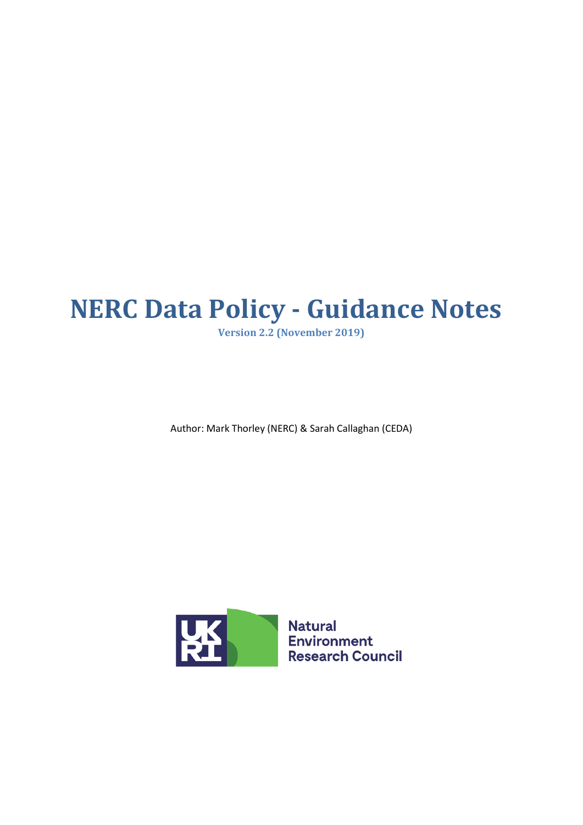# **NERC Data Policy - Guidance Notes**

**Version 2.2 (November 2019)**

Author: Mark Thorley (NERC) & Sarah Callaghan (CEDA)



**Environment Research Council**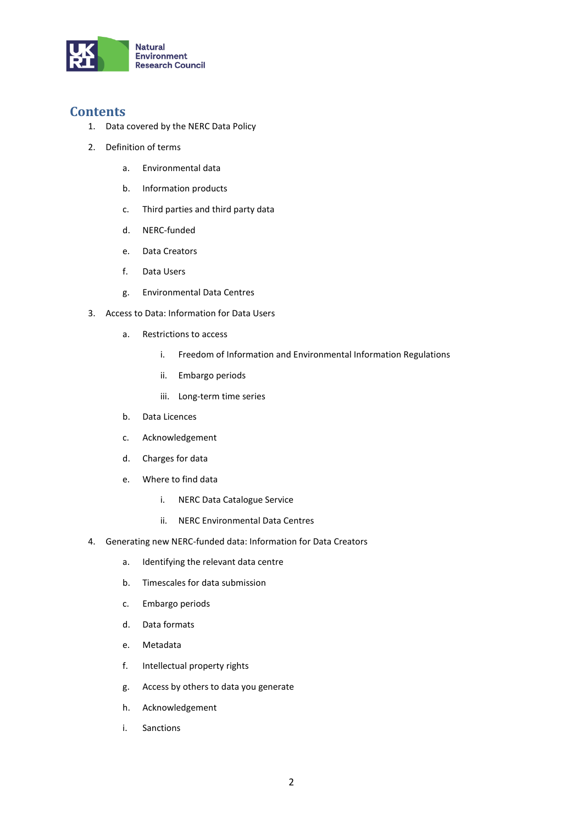

## **Contents**

- 1. Data covered by the NERC Data Policy
- 2. Definition of terms
	- a. Environmental data
	- b. Information products
	- c. Third parties and third party data
	- d. NERC-funded
	- e. Data Creators
	- f. Data Users
	- g. Environmental Data Centres
- 3. Access to Data: Information for Data Users
	- a. Restrictions to access
		- i. Freedom of Information and Environmental Information Regulations
		- ii. Embargo periods
		- iii. Long-term time series
	- b. Data Licences
	- c. Acknowledgement
	- d. Charges for data
	- e. Where to find data
		- i. NERC Data Catalogue Service
		- ii. NERC Environmental Data Centres
- 4. Generating new NERC-funded data: Information for Data Creators
	- a. Identifying the relevant data centre
	- b. Timescales for data submission
	- c. Embargo periods
	- d. Data formats
	- e. Metadata
	- f. Intellectual property rights
	- g. Access by others to data you generate
	- h. Acknowledgement
	- i. Sanctions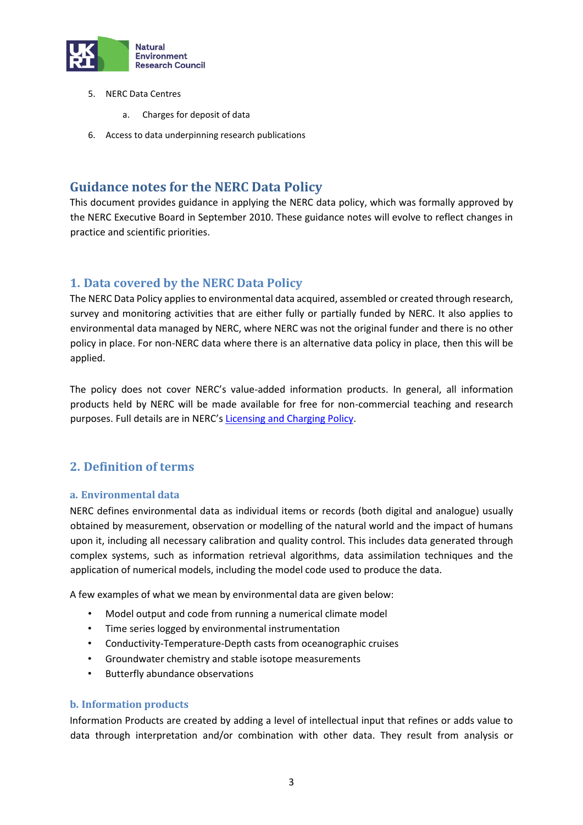

- 5. NERC Data Centres
	- a. Charges for deposit of data
- 6. Access to data underpinning research publications

# **Guidance notes for the NERC Data Policy**

This document provides guidance in applying the NERC data policy, which was formally approved by the NERC Executive Board in September 2010. These guidance notes will evolve to reflect changes in practice and scientific priorities.

# **1. Data covered by the NERC Data Policy**

The NERC Data Policy applies to environmental data acquired, assembled or created through research, survey and monitoring activities that are either fully or partially funded by NERC. It also applies to environmental data managed by NERC, where NERC was not the original funder and there is no other policy in place. For non-NERC data where there is an alternative data policy in place, then this will be applied.

The policy does not cover NERC's value-added information products. In general, all information products held by NERC will be made available for free for non-commercial teaching and research purposes. Full details are in NERC's [Licensing and Charging Policy.](http://www.nerc.ac.uk/research/sites/data/policy/nerc-licensing-charging-policy/)

# **2. Definition of terms**

## **a. Environmental data**

NERC defines environmental data as individual items or records (both digital and analogue) usually obtained by measurement, observation or modelling of the natural world and the impact of humans upon it, including all necessary calibration and quality control. This includes data generated through complex systems, such as information retrieval algorithms, data assimilation techniques and the application of numerical models, including the model code used to produce the data.

A few examples of what we mean by environmental data are given below:

- Model output and code from running a numerical climate model
- Time series logged by environmental instrumentation
- Conductivity-Temperature-Depth casts from oceanographic cruises
- Groundwater chemistry and stable isotope measurements
- Butterfly abundance observations

#### **b. Information products**

Information Products are created by adding a level of intellectual input that refines or adds value to data through interpretation and/or combination with other data. They result from analysis or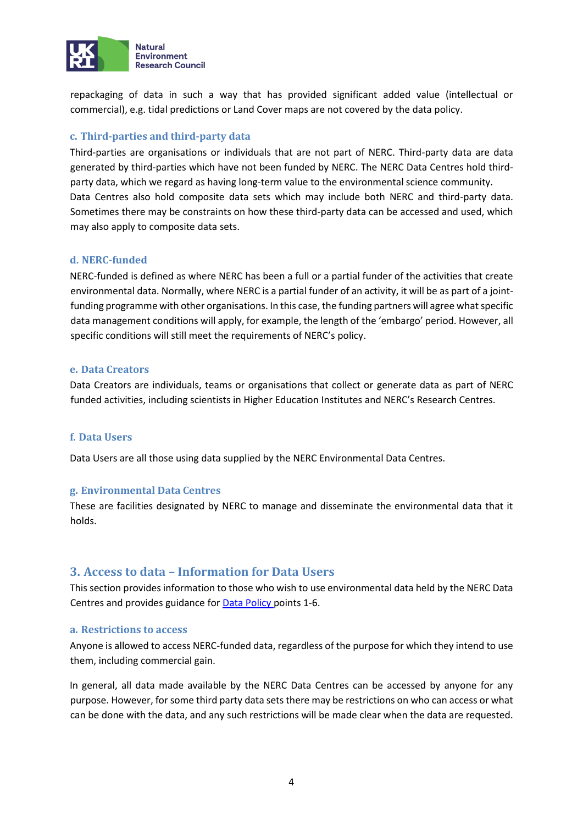

repackaging of data in such a way that has provided significant added value (intellectual or commercial), e.g. tidal predictions or Land Cover maps are not covered by the data policy.

#### **c. Third-parties and third-party data**

Third-parties are organisations or individuals that are not part of NERC. Third-party data are data generated by third-parties which have not been funded by NERC. The NERC Data Centres hold thirdparty data, which we regard as having long-term value to the environmental science community. Data Centres also hold composite data sets which may include both NERC and third-party data. Sometimes there may be constraints on how these third-party data can be accessed and used, which may also apply to composite data sets.

#### **d. NERC-funded**

NERC-funded is defined as where NERC has been a full or a partial funder of the activities that create environmental data. Normally, where NERC is a partial funder of an activity, it will be as part of a jointfunding programme with other organisations. In this case, the funding partners will agree what specific data management conditions will apply, for example, the length of the 'embargo' period. However, all specific conditions will still meet the requirements of NERC's policy.

#### **e. Data Creators**

Data Creators are individuals, teams or organisations that collect or generate data as part of NERC funded activities, including scientists in Higher Education Institutes and NERC's Research Centres.

#### **f. Data Users**

Data Users are all those using data supplied by the NERC Environmental Data Centres.

#### **g. Environmental Data Centres**

These are facilities designated by NERC to manage and disseminate the environmental data that it holds.

## **3. Access to data – Information for Data Users**

This section provides information to those who wish to use environmental data held by the NERC Data Centres and provides guidance for **Data Policy** points 1-6.

#### **a. Restrictions to access**

Anyone is allowed to access NERC-funded data, regardless of the purpose for which they intend to use them, including commercial gain.

In general, all data made available by the NERC Data Centres can be accessed by anyone for any purpose. However, for some third party data sets there may be restrictions on who can access or what can be done with the data, and any such restrictions will be made clear when the data are requested.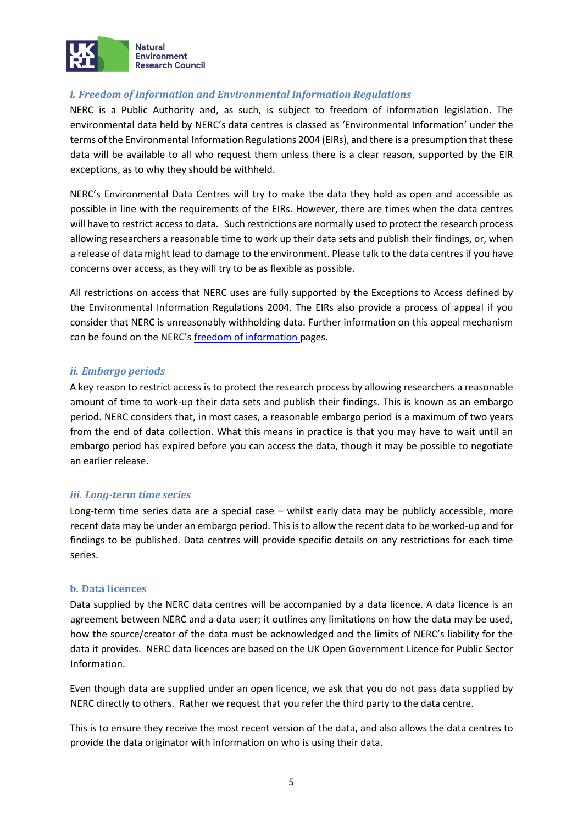

## *i. Freedom of Information and Environmental Information Regulations*

NERC is a Public Authority and, as such, is subject to freedom of information legislation. The environmental data held by NERC's data centres is classed as 'Environmental Information' under the terms of the Environmental Information Regulations 2004 (EIRs), and there is a presumption that these data will be available to all who request them unless there is a clear reason, supported by the EIR exceptions, as to why they should be withheld.

NERC's Environmental Data Centres will try to make the data they hold as open and accessible as possible in line with the requirements of the EIRs. However, there are times when the data centres will have to restrict access to data. Such restrictions are normally used to protect the research process allowing researchers a reasonable time to work up their data sets and publish their findings, or, when a release of data might lead to damage to the environment. Please talk to the data centres if you have concerns over access, as they will try to be as flexible as possible.

All restrictions on access that NERC uses are fully supported by the Exceptions to Access defined by the Environmental Information Regulations 2004. The EIRs also provide a process of appeal if you consider that NERC is unreasonably withholding data. Further information on this appeal mechanism can be found on the NERC's [freedom of information pa](http://www.nerc.ac.uk/about/policy/foi/)ges.

## *ii. Embargo periods*

A key reason to restrict access is to protect the research process by allowing researchers a reasonable amount of time to work-up their data sets and publish their findings. This is known as an embargo period. NERC considers that, in most cases, a reasonable embargo period is a maximum of two years from the end of data collection. What this means in practice is that you may have to wait until an embargo period has expired before you can access the data, though it may be possible to negotiate an earlier release.

## *iii. Long-term time series*

Long-term time series data are a special case – whilst early data may be publicly accessible, more recent data may be under an embargo period. This is to allow the recent data to be worked-up and for findings to be published. Data centres will provide specific details on any restrictions for each time series.

#### **b. Data licences**

Data supplied by the NERC data centres will be accompanied by a data licence. A data licence is an agreement between NERC and a data user; it outlines any limitations on how the data may be used, how the source/creator of the data must be acknowledged and the limits of NERC's liability for the data it provides. NERC data licences are based on the UK Open Government Licence for Public Sector Information.

Even though data are supplied under an open licence, we ask that you do not pass data supplied by NERC directly to others. Rather we request that you refer the third party to the data centre.

This is to ensure they receive the most recent version of the data, and also allows the data centres to provide the data originator with information on who is using their data.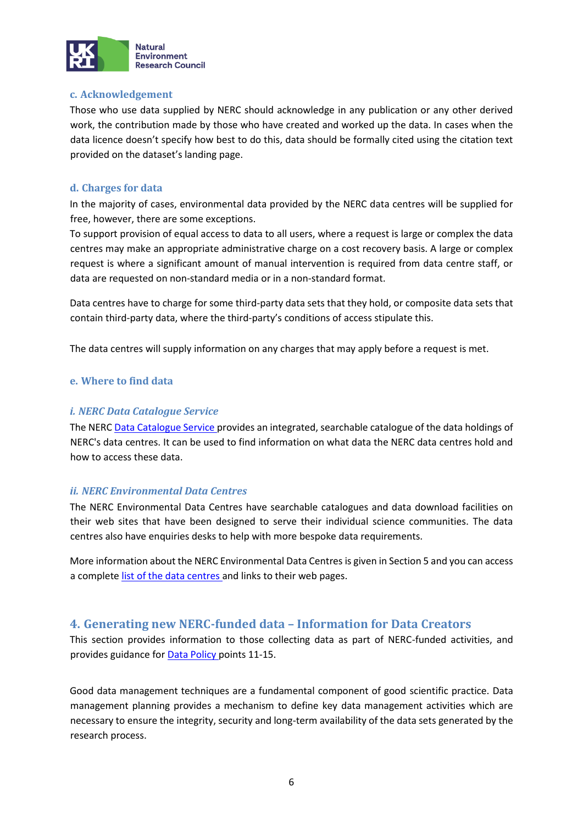

#### **c. Acknowledgement**

Those who use data supplied by NERC should acknowledge in any publication or any other derived work, the contribution made by those who have created and worked up the data. In cases when the data licence doesn't specify how best to do this, data should be formally cited using the citation text provided on the dataset's landing page.

## **d. Charges for data**

In the majority of cases, environmental data provided by the NERC data centres will be supplied for free, however, there are some exceptions.

To support provision of equal access to data to all users, where a request is large or complex the data centres may make an appropriate administrative charge on a cost recovery basis. A large or complex request is where a significant amount of manual intervention is required from data centre staff, or data are requested on non-standard media or in a non-standard format.

Data centres have to charge for some third-party data sets that they hold, or composite data sets that contain third-party data, where the third-party's conditions of access stipulate this.

The data centres will supply information on any charges that may apply before a request is met.

## **e. Where to find data**

#### *i. NERC Data Catalogue Service*

The NERC [Data Catalogue Service pr](http://data-search.nerc.ac.uk/)ovides an integrated, searchable catalogue of the data holdings of NERC's data centres. It can be used to find information on what data the NERC data centres hold and how to access these data.

## *ii. NERC Environmental Data Centres*

The NERC Environmental Data Centres have searchable catalogues and data download facilities on their web sites that have been designed to serve their individual science communities. The data centres also have enquiries desks to help with more bespoke data requirements.

More information about the NERC Environmental Data Centres is given in Section 5 and you can access a complete [list of the data centres an](http://www.nerc.ac.uk/research/sites/data/)d links to their web pages.

## **4. Generating new NERC-funded data – Information for Data Creators**

This section provides information to those collecting data as part of NERC-funded activities, and provides guidance for **Data Policy** points 11-15.

Good data management techniques are a fundamental component of good scientific practice. Data management planning provides a mechanism to define key data management activities which are necessary to ensure the integrity, security and long-term availability of the data sets generated by the research process.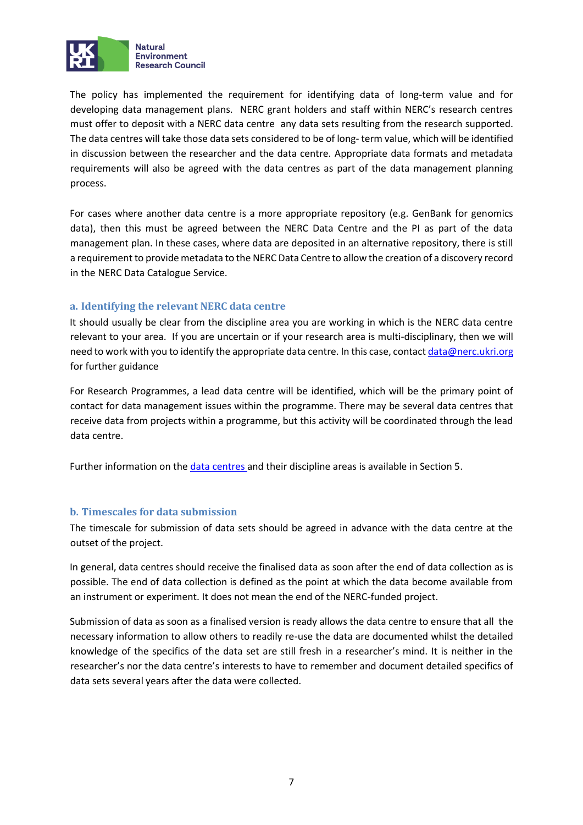

The policy has implemented the requirement for identifying data of long-term value and for developing data management plans. NERC grant holders and staff within NERC's research centres must offer to deposit with a NERC data centre any data sets resulting from the research supported. The data centres will take those data sets considered to be of long- term value, which will be identified in discussion between the researcher and the data centre. Appropriate data formats and metadata requirements will also be agreed with the data centres as part of the data management planning process.

For cases where another data centre is a more appropriate repository (e.g. GenBank for genomics data), then this must be agreed between the NERC Data Centre and the PI as part of the data management plan. In these cases, where data are deposited in an alternative repository, there is still a requirement to provide metadata to the NERC Data Centre to allow the creation of a discovery record in the NERC Data Catalogue Service.

#### **a. Identifying the relevant NERC data centre**

It should usually be clear from the discipline area you are working in which is the NERC data centre relevant to your area. If you are uncertain or if your research area is multi-disciplinary, then we will need to work with you to identify the appropriate data centre. In this case, contact data@nerc.ukri.org for further guidance

For Research Programmes, a lead data centre will be identified, which will be the primary point of contact for data management issues within the programme. There may be several data centres that receive data from projects within a programme, but this activity will be coordinated through the lead data centre.

Further information on the [data centres an](http://www.nerc.ac.uk/research/sites/data/)d their discipline areas is available in Section 5.

## **b. Timescales for data submission**

The timescale for submission of data sets should be agreed in advance with the data centre at the outset of the project.

In general, data centres should receive the finalised data as soon after the end of data collection as is possible. The end of data collection is defined as the point at which the data become available from an instrument or experiment. It does not mean the end of the NERC-funded project.

Submission of data as soon as a finalised version is ready allows the data centre to ensure that all the necessary information to allow others to readily re-use the data are documented whilst the detailed knowledge of the specifics of the data set are still fresh in a researcher's mind. It is neither in the researcher's nor the data centre's interests to have to remember and document detailed specifics of data sets several years after the data were collected.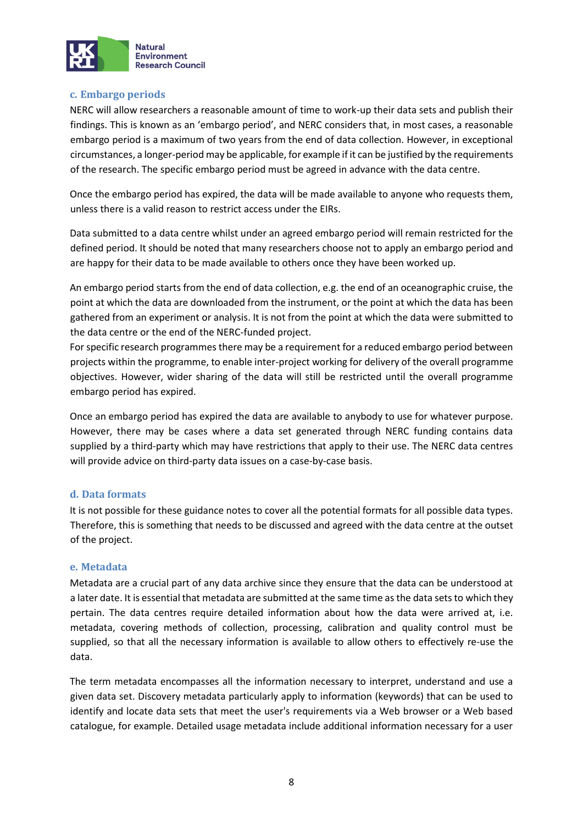

#### **c. Embargo periods**

NERC will allow researchers a reasonable amount of time to work-up their data sets and publish their findings. This is known as an 'embargo period', and NERC considers that, in most cases, a reasonable embargo period is a maximum of two years from the end of data collection. However, in exceptional circumstances, a longer-period may be applicable, for example if it can be justified by the requirements of the research. The specific embargo period must be agreed in advance with the data centre.

Once the embargo period has expired, the data will be made available to anyone who requests them, unless there is a valid reason to restrict access under the EIRs.

Data submitted to a data centre whilst under an agreed embargo period will remain restricted for the defined period. It should be noted that many researchers choose not to apply an embargo period and are happy for their data to be made available to others once they have been worked up.

An embargo period starts from the end of data collection, e.g. the end of an oceanographic cruise, the point at which the data are downloaded from the instrument, or the point at which the data has been gathered from an experiment or analysis. It is not from the point at which the data were submitted to the data centre or the end of the NERC-funded project.

For specific research programmes there may be a requirement for a reduced embargo period between projects within the programme, to enable inter-project working for delivery of the overall programme objectives. However, wider sharing of the data will still be restricted until the overall programme embargo period has expired.

Once an embargo period has expired the data are available to anybody to use for whatever purpose. However, there may be cases where a data set generated through NERC funding contains data supplied by a third-party which may have restrictions that apply to their use. The NERC data centres will provide advice on third-party data issues on a case-by-case basis.

## **d. Data formats**

It is not possible for these guidance notes to cover all the potential formats for all possible data types. Therefore, this is something that needs to be discussed and agreed with the data centre at the outset of the project.

#### **e. Metadata**

Metadata are a crucial part of any data archive since they ensure that the data can be understood at a later date. It is essential that metadata are submitted at the same time as the data sets to which they pertain. The data centres require detailed information about how the data were arrived at, i.e. metadata, covering methods of collection, processing, calibration and quality control must be supplied, so that all the necessary information is available to allow others to effectively re-use the data.

The term metadata encompasses all the information necessary to interpret, understand and use a given data set. Discovery metadata particularly apply to information (keywords) that can be used to identify and locate data sets that meet the user's requirements via a Web browser or a Web based catalogue, for example. Detailed usage metadata include additional information necessary for a user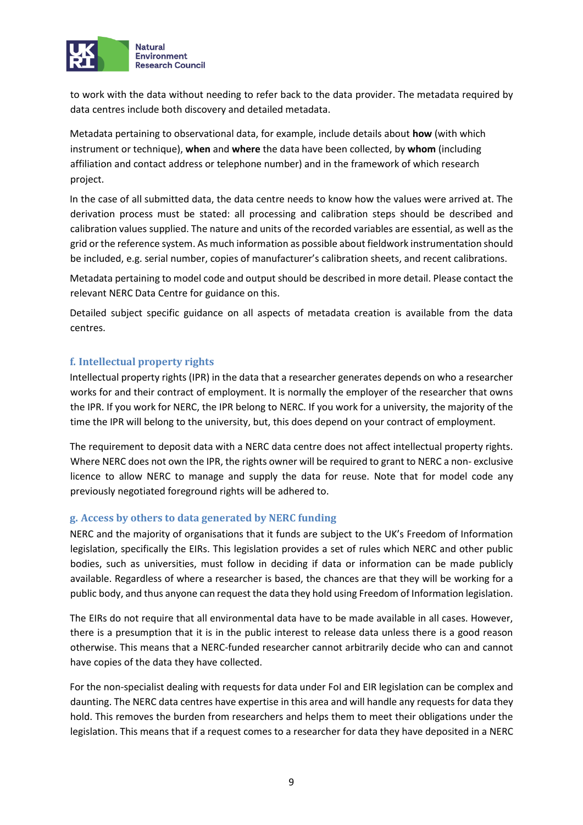

to work with the data without needing to refer back to the data provider. The metadata required by data centres include both discovery and detailed metadata.

Metadata pertaining to observational data, for example, include details about **how** (with which instrument or technique), **when** and **where** the data have been collected, by **whom** (including affiliation and contact address or telephone number) and in the framework of which research project.

In the case of all submitted data, the data centre needs to know how the values were arrived at. The derivation process must be stated: all processing and calibration steps should be described and calibration values supplied. The nature and units of the recorded variables are essential, as well as the grid or the reference system. As much information as possible about fieldwork instrumentation should be included, e.g. serial number, copies of manufacturer's calibration sheets, and recent calibrations.

Metadata pertaining to model code and output should be described in more detail. Please contact the relevant NERC Data Centre for guidance on this.

Detailed subject specific guidance on all aspects of metadata creation is available from the data centres.

## **f. Intellectual property rights**

Intellectual property rights (IPR) in the data that a researcher generates depends on who a researcher works for and their contract of employment. It is normally the employer of the researcher that owns the IPR. If you work for NERC, the IPR belong to NERC. If you work for a university, the majority of the time the IPR will belong to the university, but, this does depend on your contract of employment.

The requirement to deposit data with a NERC data centre does not affect intellectual property rights. Where NERC does not own the IPR, the rights owner will be required to grant to NERC a non- exclusive licence to allow NERC to manage and supply the data for reuse. Note that for model code any previously negotiated foreground rights will be adhered to.

## **g. Access by others to data generated by NERC funding**

NERC and the majority of organisations that it funds are subject to the UK's Freedom of Information legislation, specifically the EIRs. This legislation provides a set of rules which NERC and other public bodies, such as universities, must follow in deciding if data or information can be made publicly available. Regardless of where a researcher is based, the chances are that they will be working for a public body, and thus anyone can request the data they hold using Freedom of Information legislation.

The EIRs do not require that all environmental data have to be made available in all cases. However, there is a presumption that it is in the public interest to release data unless there is a good reason otherwise. This means that a NERC-funded researcher cannot arbitrarily decide who can and cannot have copies of the data they have collected.

For the non-specialist dealing with requests for data under FoI and EIR legislation can be complex and daunting. The NERC data centres have expertise in this area and will handle any requests for data they hold. This removes the burden from researchers and helps them to meet their obligations under the legislation. This means that if a request comes to a researcher for data they have deposited in a NERC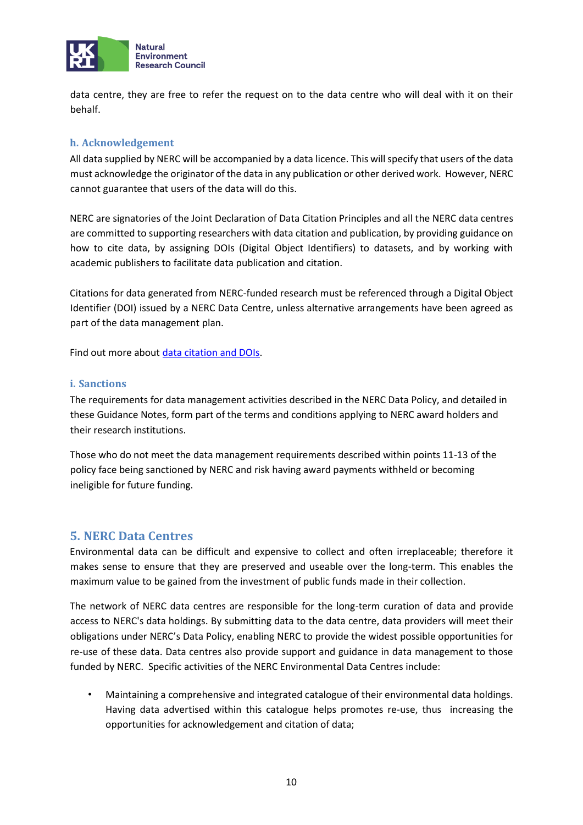

data centre, they are free to refer the request on to the data centre who will deal with it on their behalf.

## **h. Acknowledgement**

All data supplied by NERC will be accompanied by a data licence. This will specify that users of the data must acknowledge the originator of the data in any publication or other derived work. However, NERC cannot guarantee that users of the data will do this.

NERC are signatories of the Joint Declaration of Data Citation Principles and all the NERC data centres are committed to supporting researchers with data citation and publication, by providing guidance on how to cite data, by assigning DOIs (Digital Object Identifiers) to datasets, and by working with academic publishers to facilitate data publication and citation.

Citations for data generated from NERC-funded research must be referenced through a Digital Object Identifier (DOI) issued by a NERC Data Centre, unless alternative arrangements have been agreed as part of the data management plan.

Find out more about [data citation and DOIs.](http://www.nerc.ac.uk/research/sites/data/doi/)

#### **i. Sanctions**

The requirements for data management activities described in the NERC Data Policy, and detailed in these Guidance Notes, form part of the terms and conditions applying to NERC award holders and their research institutions.

Those who do not meet the data management requirements described within points 11-13 of the policy face being sanctioned by NERC and risk having award payments withheld or becoming ineligible for future funding.

## **5. NERC Data Centres**

Environmental data can be difficult and expensive to collect and often irreplaceable; therefore it makes sense to ensure that they are preserved and useable over the long-term. This enables the maximum value to be gained from the investment of public funds made in their collection.

The network of NERC data centres are responsible for the long-term curation of data and provide access to NERC's data holdings. By submitting data to the data centre, data providers will meet their obligations under NERC's Data Policy, enabling NERC to provide the widest possible opportunities for re-use of these data. Data centres also provide support and guidance in data management to those funded by NERC. Specific activities of the NERC Environmental Data Centres include:

• Maintaining a comprehensive and integrated catalogue of their environmental data holdings. Having data advertised within this catalogue helps promotes re-use, thus increasing the opportunities for acknowledgement and citation of data;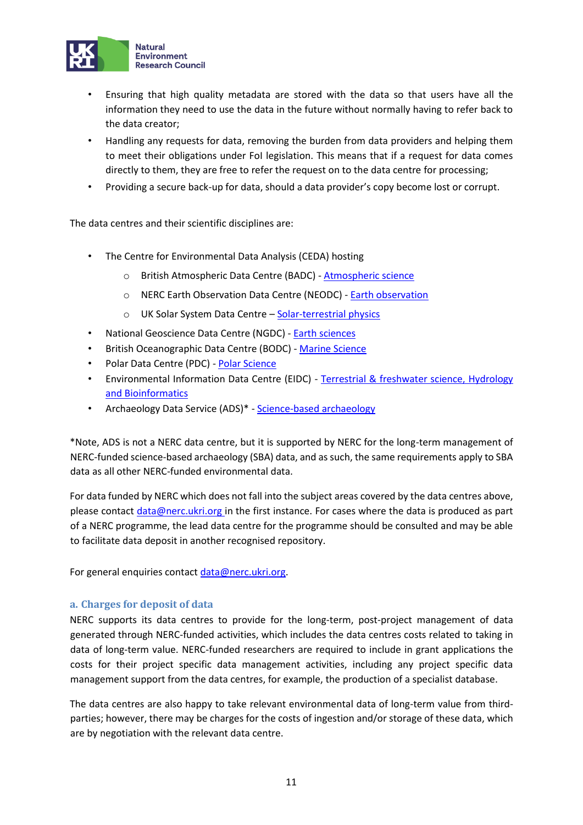

- Ensuring that high quality metadata are stored with the data so that users have all the information they need to use the data in the future without normally having to refer back to the data creator;
- Handling any requests for data, removing the burden from data providers and helping them to meet their obligations under FoI legislation. This means that if a request for data comes directly to them, they are free to refer the request on to the data centre for processing;
- Providing a secure back-up for data, should a data provider's copy become lost or corrupt.

The data centres and their scientific disciplines are:

- The Centre for Environmental Data Analysis (CEDA) hosting
	- o British Atmospheric Data Centre (BADC) [Atmospheric science](http://archive.ceda.ac.uk/)
	- o NERC Earth Observation Data Centre (NEODC) [Earth observation](http://archive.ceda.ac.uk/)
	- o UK Solar System Data Centre [Solar-terrestrial physics](http://www.ukssdc.ac.uk/)
- National Geoscience Data Centre (NGDC) [Earth sciences](https://www.bgs.ac.uk/services/NGDC/home.html)
- British Oceanographic Data Centre (BODC) [-](https://www.bodc.ac.uk/) [Marine Science](https://www.bodc.ac.uk/)
- Polar Data Centre (PDC) [Polar Science](https://www.bas.ac.uk/data/uk-pdc/)
- Environmental Information Data Centre (EIDC) Terrestrial & freshwater science, Hydrology [and Bioinformatics](http://eidc.ceh.ac.uk/)
- Archaeology Data Service (ADS)\* [Science-based archaeology](http://archaeologydataservice.ac.uk/)

\*Note, ADS is not a NERC data centre, but it is supported by NERC for the long-term management of NERC-funded science-based archaeology (SBA) data, and as such, the same requirements apply to SBA data as all other NERC-funded environmental data.

For data funded by NERC which does not fall into the subject areas covered by the data centres above, please contact data@nerc.ukri.org in the first instance. For cases where the data is produced as part of a NERC programme, the lead data centre for the programme should be consulted and may be able to facilitate data deposit in another recognised repository.

For general enquiries contact data@nerc.ukri.org.

#### **a. Charges for deposit of data**

NERC supports its data centres to provide for the long-term, post-project management of data generated through NERC-funded activities, which includes the data centres costs related to taking in data of long-term value. NERC-funded researchers are required to include in grant applications the costs for their project specific data management activities, including any project specific data management support from the data centres, for example, the production of a specialist database.

The data centres are also happy to take relevant environmental data of long-term value from thirdparties; however, there may be charges for the costs of ingestion and/or storage of these data, which are by negotiation with the relevant data centre.